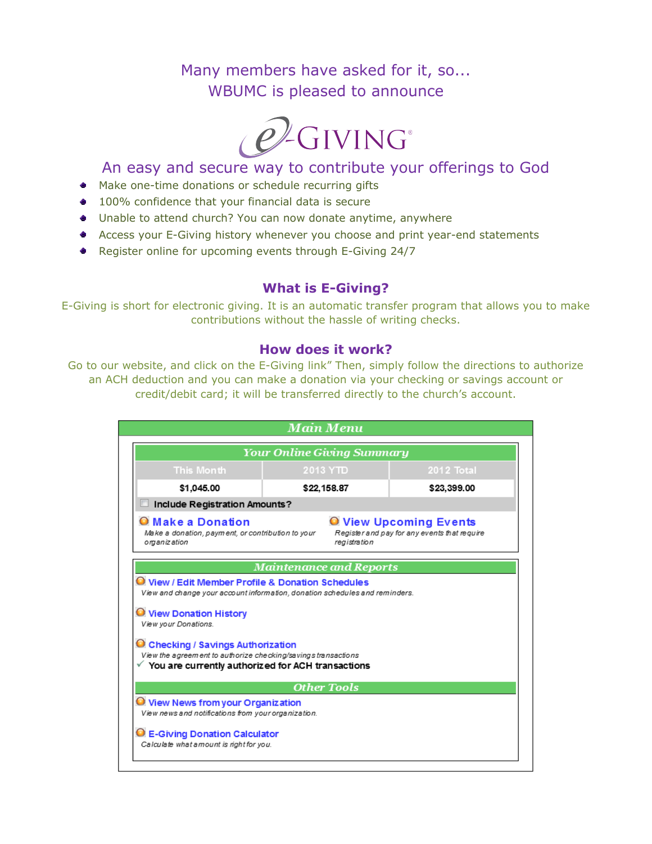# Many members have asked for it, so... WBUMC is pleased to announce



## An easy and secure way to contribute your offerings to God

- Make one-time donations or schedule recurring gifts
- 100% confidence that your financial data is secure
- Unable to attend church? You can now donate anytime, anywhere
- Access your E-Giving history whenever you choose and print year-end statements
- Register online for upcoming events through E-Giving 24/7

## **What is E-Giving?**

E-Giving is short for electronic giving. It is an automatic transfer program that allows you to make contributions without the hassle of writing checks.

#### **How does it work?**

Go to our website, and click on the E-Giving link" Then, simply follow the directions to authorize an ACH deduction and you can make a donation via your checking or savings account or credit/debit card; it will be transferred directly to the church's account.

|                                                                                                                                                                                                                                  | <b>Your Online Giving Summary</b>                                                                                                |             |
|----------------------------------------------------------------------------------------------------------------------------------------------------------------------------------------------------------------------------------|----------------------------------------------------------------------------------------------------------------------------------|-------------|
| <b>This Month</b>                                                                                                                                                                                                                | 2013 YTD                                                                                                                         | 2012 Total  |
| \$1,045.00                                                                                                                                                                                                                       | \$22,158.87                                                                                                                      | \$23,399.00 |
| Include Registration Amounts?                                                                                                                                                                                                    |                                                                                                                                  |             |
| <b>O</b> Make a Donation<br><b>O</b> View Upcoming Events<br>Register and pay for any events that require<br>Make a donation, payment, or contribution to your<br>registration<br>organization                                   |                                                                                                                                  |             |
|                                                                                                                                                                                                                                  | <b>Maintenance and Reports</b>                                                                                                   |             |
|                                                                                                                                                                                                                                  |                                                                                                                                  |             |
|                                                                                                                                                                                                                                  | O View / Edit Member Profile & Donation Schedules<br>View and change your account information, donation schedules and reminders. |             |
| <b>O</b> View Donation History<br>View your Donations.<br>C Checking / Savings Authorization<br>View the agreem ent to authorize checking/savings transactions<br>$\checkmark$ You are currently authorized for ACH transactions | <b>Other Tools</b>                                                                                                               |             |
| <b>O</b> View News from your Organization<br>View news and notifications from your organization.                                                                                                                                 |                                                                                                                                  |             |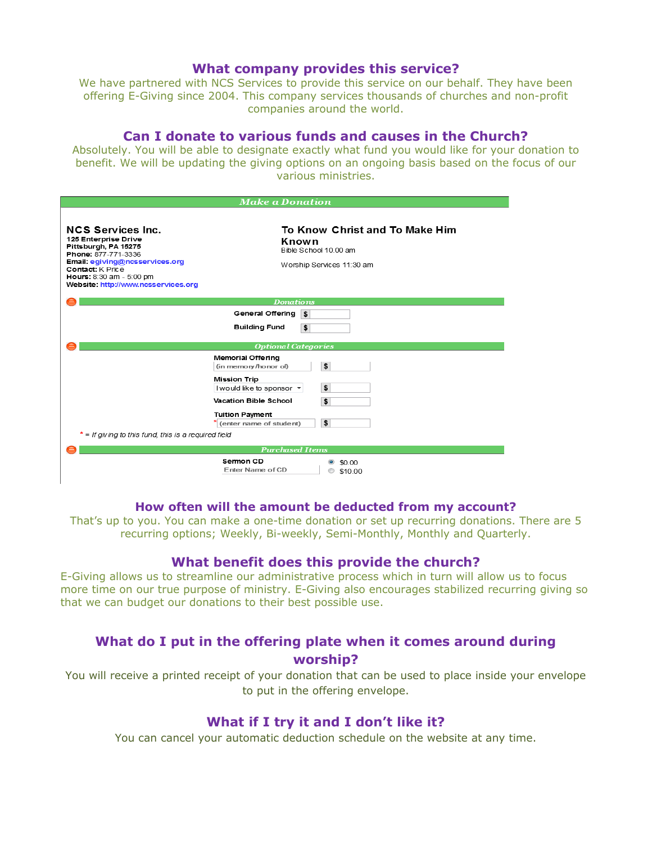#### **What company provides this service?**

We have partnered with NCS Services to provide this service on our behalf. They have been offering E-Giving since 2004. This company services thousands of churches and non-profit companies around the world.

## **Can I donate to various funds and causes in the Church?**

Absolutely. You will be able to designate exactly what fund you would like for your donation to benefit. We will be updating the giving options on an ongoing basis based on the focus of our various ministries.

| <b>Make a Donation</b>                                                                                                                                                                                                          |                                                                                               |  |
|---------------------------------------------------------------------------------------------------------------------------------------------------------------------------------------------------------------------------------|-----------------------------------------------------------------------------------------------|--|
| <b>NCS Services Inc.</b><br>125 Enterprise Drive<br>Pittsburgh, PA 15275<br>Phone: 877-771-3336<br>Email: egiving@ncsservices.org<br><b>Contact:</b> K Price<br>Hours: 8:30 am - 5:00 pm<br>Website: http://www.ncsservices.org | To Know Christ and To Make Him<br>Known<br>Bible School 10.00 am<br>Worship Services 11:30 am |  |
| <b>Donations</b>                                                                                                                                                                                                                |                                                                                               |  |
|                                                                                                                                                                                                                                 | General Offering<br>\$                                                                        |  |
|                                                                                                                                                                                                                                 | <b>Building Fund</b><br>\$                                                                    |  |
| <b>Optional Categories</b>                                                                                                                                                                                                      |                                                                                               |  |
|                                                                                                                                                                                                                                 | <b>Memorial Offering</b><br>\$<br>(in memory/honor of)                                        |  |
|                                                                                                                                                                                                                                 | <b>Mission Trip</b><br>\$<br>I would like to sponsor *                                        |  |
|                                                                                                                                                                                                                                 | \$<br><b>Vacation Bible School</b><br><b>Tuition Payment</b><br>\$<br>(enter name of student) |  |
| $*$ = If giving to this fund, this is a required field                                                                                                                                                                          |                                                                                               |  |
| <b>Purchased Items</b>                                                                                                                                                                                                          |                                                                                               |  |
|                                                                                                                                                                                                                                 | Sermon CD<br>\$0.00<br>Enter Name of CD<br>\$10.00                                            |  |

#### **How often will the amount be deducted from my account?**

That's up to you. You can make a one-time donation or set up recurring donations. There are 5 recurring options; Weekly, Bi-weekly, Semi-Monthly, Monthly and Quarterly.

#### **What benefit does this provide the church?**

E-Giving allows us to streamline our administrative process which in turn will allow us to focus more time on our true purpose of ministry. E-Giving also encourages stabilized recurring giving so that we can budget our donations to their best possible use.

## **What do I put in the offering plate when it comes around during worship?**

You will receive a printed receipt of your donation that can be used to place inside your envelope to put in the offering envelope.

### **What if I try it and I don't like it?**

You can cancel your automatic deduction schedule on the website at any time.